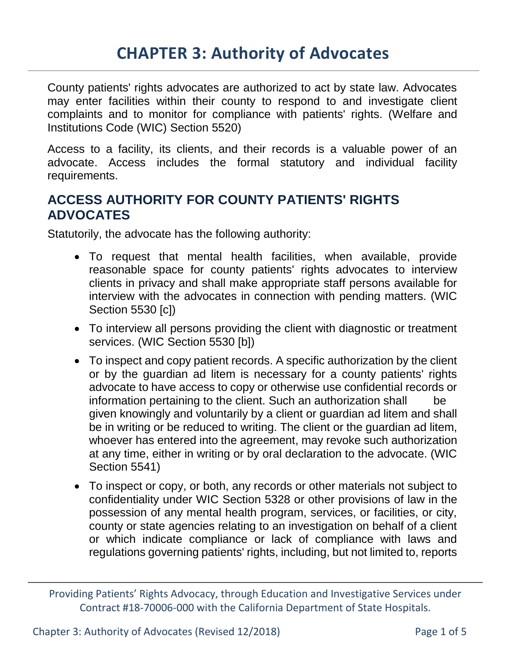County patients' rights advocates are authorized to act by state law. Advocates may enter facilities within their county to respond to and investigate client complaints and to monitor for compliance with patients' rights. (Welfare and Institutions Code (WIC) Section 5520)

Access to a facility, its clients, and their records is a valuable power of an advocate. Access includes the formal statutory and individual facility requirements.

#### **ACCESS AUTHORITY FOR COUNTY PATIENTS' RIGHTS ADVOCATES**

Statutorily, the advocate has the following authority:

- To request that mental health facilities, when available, provide reasonable space for county patients' rights advocates to interview clients in privacy and shall make appropriate staff persons available for interview with the advocates in connection with pending matters. (WIC Section 5530 [c])
- To interview all persons providing the client with diagnostic or treatment services. (WIC Section 5530 [b])
- To inspect and copy patient records. A specific authorization by the client or by the guardian ad litem is necessary for a county patients' rights advocate to have access to copy or otherwise use confidential records or information pertaining to the client. Such an authorization shall be given knowingly and voluntarily by a client or guardian ad litem and shall be in writing or be reduced to writing. The client or the guardian ad litem, whoever has entered into the agreement, may revoke such authorization at any time, either in writing or by oral declaration to the advocate. (WIC Section 5541)
- To inspect or copy, or both, any records or other materials not subject to confidentiality under WIC Section 5328 or other provisions of law in the possession of any mental health program, services, or facilities, or city, county or state agencies relating to an investigation on behalf of a client or which indicate compliance or lack of compliance with laws and regulations governing patients' rights, including, but not limited to, reports

Providing Patients' Rights Advocacy, through Education and Investigative Services under Contract #18-70006-000 with the California Department of State Hospitals.

Chapter 3: Authority of Advocates (Revised 12/2018) Page 1 of 5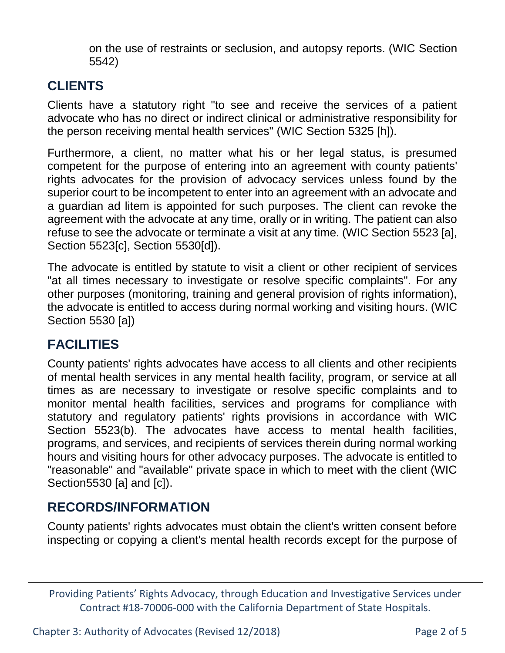on the use of restraints or seclusion, and autopsy reports. (WIC Section 5542)

# **CLIENTS**

Clients have a statutory right "to see and receive the services of a patient advocate who has no direct or indirect clinical or administrative responsibility for the person receiving mental health services" (WIC Section 5325 [h]).

Furthermore, a client, no matter what his or her legal status, is presumed competent for the purpose of entering into an agreement with county patients' rights advocates for the provision of advocacy services unless found by the superior court to be incompetent to enter into an agreement with an advocate and a guardian ad litem is appointed for such purposes. The client can revoke the agreement with the advocate at any time, orally or in writing. The patient can also refuse to see the advocate or terminate a visit at any time. (WIC Section 5523 [a], Section 5523[c], Section 5530[d]).

The advocate is entitled by statute to visit a client or other recipient of services "at all times necessary to investigate or resolve specific complaints". For any other purposes (monitoring, training and general provision of rights information), the advocate is entitled to access during normal working and visiting hours. (WIC Section 5530 [a])

# **FACILITIES**

County patients' rights advocates have access to all clients and other recipients of mental health services in any mental health facility, program, or service at all times as are necessary to investigate or resolve specific complaints and to monitor mental health facilities, services and programs for compliance with statutory and regulatory patients' rights provisions in accordance with WIC Section 5523(b). The advocates have access to mental health facilities, programs, and services, and recipients of services therein during normal working hours and visiting hours for other advocacy purposes. The advocate is entitled to "reasonable" and "available" private space in which to meet with the client (WIC Section5530 [a] and [c]).

# **RECORDS/INFORMATION**

County patients' rights advocates must obtain the client's written consent before inspecting or copying a client's mental health records except for the purpose of

Providing Patients' Rights Advocacy, through Education and Investigative Services under Contract #18-70006-000 with the California Department of State Hospitals.

Chapter 3: Authority of Advocates (Revised 12/2018) Page 2 of 5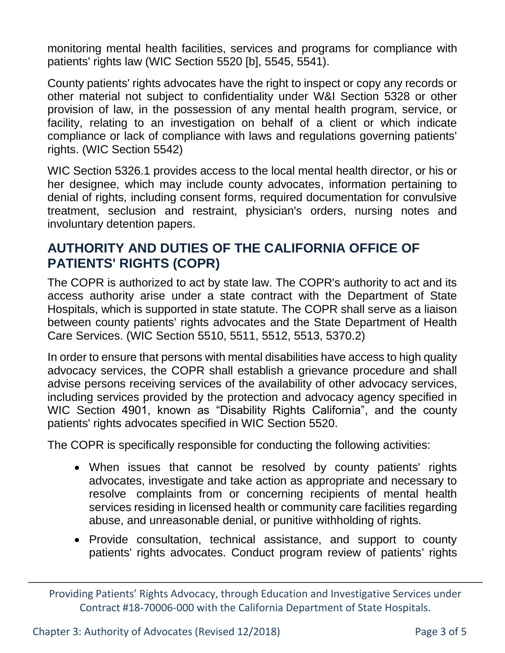monitoring mental health facilities, services and programs for compliance with patients' rights law (WIC Section 5520 [b], 5545, 5541).

County patients' rights advocates have the right to inspect or copy any records or other material not subject to confidentiality under W&I Section 5328 or other provision of law, in the possession of any mental health program, service, or facility, relating to an investigation on behalf of a client or which indicate compliance or lack of compliance with laws and regulations governing patients' rights. (WIC Section 5542)

WIC Section 5326.1 provides access to the local mental health director, or his or her designee, which may include county advocates, information pertaining to denial of rights, including consent forms, required documentation for convulsive treatment, seclusion and restraint, physician's orders, nursing notes and involuntary detention papers.

#### **AUTHORITY AND DUTIES OF THE CALIFORNIA OFFICE OF PATIENTS' RIGHTS (COPR)**

The COPR is authorized to act by state law. The COPR's authority to act and its access authority arise under a state contract with the Department of State Hospitals, which is supported in state statute. The COPR shall serve as a liaison between county patients' rights advocates and the State Department of Health Care Services. (WIC Section 5510, 5511, 5512, 5513, 5370.2)

In order to ensure that persons with mental disabilities have access to high quality advocacy services, the COPR shall establish a grievance procedure and shall advise persons receiving services of the availability of other advocacy services, including services provided by the protection and advocacy agency specified in WIC Section 4901, known as "Disability Rights California", and the county patients' rights advocates specified in WIC Section 5520.

The COPR is specifically responsible for conducting the following activities:

- When issues that cannot be resolved by county patients' rights advocates, investigate and take action as appropriate and necessary to resolve complaints from or concerning recipients of mental health services residing in licensed health or community care facilities regarding abuse, and unreasonable denial, or punitive withholding of rights.
- Provide consultation, technical assistance, and support to county patients' rights advocates. Conduct program review of patients' rights

Chapter 3: Authority of Advocates (Revised 12/2018) Page 3 of 5

Providing Patients' Rights Advocacy, through Education and Investigative Services under Contract #18-70006-000 with the California Department of State Hospitals.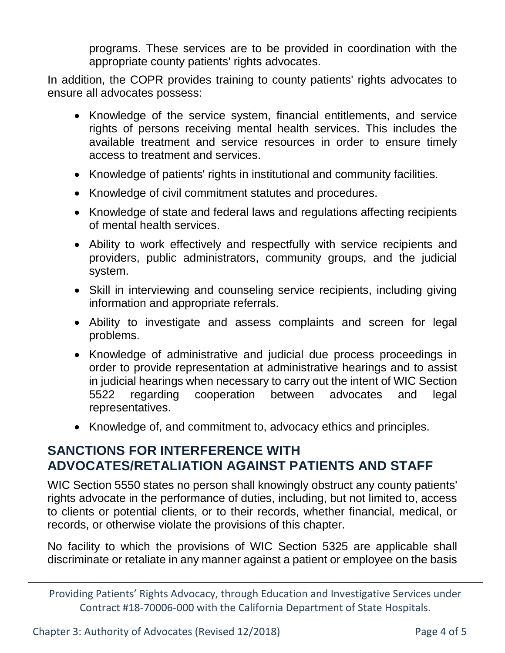programs. These services are to be provided in coordination with the appropriate county patients' rights advocates.

In addition, the COPR provides training to county patients' rights advocates to ensure all advocates possess:

- Knowledge of the service system, financial entitlements, and service rights of persons receiving mental health services. This includes the available treatment and service resources in order to ensure timely access to treatment and services.
- Knowledge of patients' rights in institutional and community facilities.
- Knowledge of civil commitment statutes and procedures.
- Knowledge of state and federal laws and regulations affecting recipients of mental health services.
- Ability to work effectively and respectfully with service recipients and providers, public administrators, community groups, and the judicial system.
- Skill in interviewing and counseling service recipients, including giving information and appropriate referrals.
- Ability to investigate and assess complaints and screen for legal problems.
- Knowledge of administrative and judicial due process proceedings in order to provide representation at administrative hearings and to assist in judicial hearings when necessary to carry out the intent of WIC Section 5522 regarding cooperation between advocates and legal representatives.
- Knowledge of, and commitment to, advocacy ethics and principles.

#### **SANCTIONS FOR INTERFERENCE WITH ADVOCATES/RETALIATION AGAINST PATIENTS AND STAFF**

WIC Section 5550 states no person shall knowingly obstruct any county patients' rights advocate in the performance of duties, including, but not limited to, access to clients or potential clients, or to their records, whether financial, medical, or records, or otherwise violate the provisions of this chapter.

No facility to which the provisions of WIC Section 5325 are applicable shall discriminate or retaliate in any manner against a patient or employee on the basis

Providing Patients' Rights Advocacy, through Education and Investigative Services under Contract #18-70006-000 with the California Department of State Hospitals.